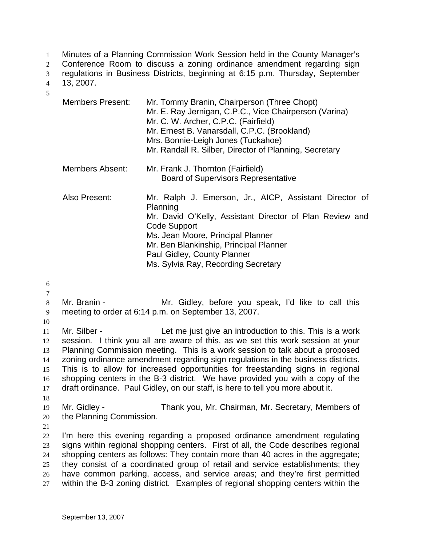Minutes of a Planning Commission Work Session held in the County Manager's 1

Conference Room to discuss a zoning ordinance amendment regarding sign  $\mathcal{L}$ 

regulations in Business Districts, beginning at 6:15 p.m. Thursday, September 3

- 13, 2007. 4
- 5

| <b>Members Present:</b> | Mr. Tommy Branin, Chairperson (Three Chopt)<br>Mr. E. Ray Jernigan, C.P.C., Vice Chairperson (Varina)<br>Mr. C. W. Archer, C.P.C. (Fairfield)<br>Mr. Ernest B. Vanarsdall, C.P.C. (Brookland)<br>Mrs. Bonnie-Leigh Jones (Tuckahoe)<br>Mr. Randall R. Silber, Director of Planning, Secretary       |
|-------------------------|-----------------------------------------------------------------------------------------------------------------------------------------------------------------------------------------------------------------------------------------------------------------------------------------------------|
| Members Absent:         | Mr. Frank J. Thornton (Fairfield)<br><b>Board of Supervisors Representative</b>                                                                                                                                                                                                                     |
| Also Present:           | Mr. Ralph J. Emerson, Jr., AICP, Assistant Director of<br>Planning<br>Mr. David O'Kelly, Assistant Director of Plan Review and<br>Code Support<br>Ms. Jean Moore, Principal Planner<br>Mr. Ben Blankinship, Principal Planner<br>Paul Gidley, County Planner<br>Ms. Sylvia Ray, Recording Secretary |

6

- 7 8
- 9 Mr. Branin - The Mr. Gidley, before you speak, I'd like to call this meeting to order at 6:14 p.m. on September 13, 2007.
- 10

11 12 13 14 15 16 17 18 Mr. Silber - Let me just give an introduction to this. This is a work session. I think you all are aware of this, as we set this work session at your Planning Commission meeting. This is a work session to talk about a proposed zoning ordinance amendment regarding sign regulations in the business districts. This is to allow for increased opportunities for freestanding signs in regional shopping centers in the B-3 district. We have provided you with a copy of the draft ordinance. Paul Gidley, on our staff, is here to tell you more about it.

- 19 20 Mr. Gidley - Thank you, Mr. Chairman, Mr. Secretary, Members of the Planning Commission.
- 21

22 23 24 25 26 27 I'm here this evening regarding a proposed ordinance amendment regulating signs within regional shopping centers. First of all, the Code describes regional shopping centers as follows: They contain more than 40 acres in the aggregate; they consist of a coordinated group of retail and service establishments; they have common parking, access, and service areas; and they're first permitted within the B-3 zoning district. Examples of regional shopping centers within the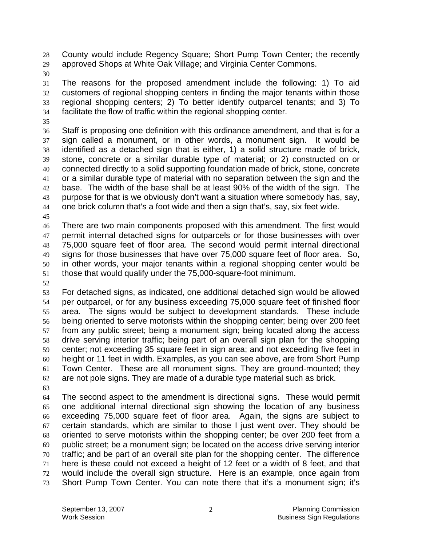County would include Regency Square; Short Pump Town Center; the recently approved Shops at White Oak Village; and Virginia Center Commons. 28 29

30

31 32 33 34 The reasons for the proposed amendment include the following: 1) To aid customers of regional shopping centers in finding the major tenants within those regional shopping centers; 2) To better identify outparcel tenants; and 3) To facilitate the flow of traffic within the regional shopping center.

35

36 37 38 39 40 41 42 43 44 Staff is proposing one definition with this ordinance amendment, and that is for a sign called a monument, or in other words, a monument sign. It would be identified as a detached sign that is either, 1) a solid structure made of brick, stone, concrete or a similar durable type of material; or 2) constructed on or connected directly to a solid supporting foundation made of brick, stone, concrete or a similar durable type of material with no separation between the sign and the base. The width of the base shall be at least 90% of the width of the sign. The purpose for that is we obviously don't want a situation where somebody has, say, one brick column that's a foot wide and then a sign that's, say, six feet wide.

45

46 47 48 49 50 51 There are two main components proposed with this amendment. The first would permit internal detached signs for outparcels or for those businesses with over 75,000 square feet of floor area. The second would permit internal directional signs for those businesses that have over 75,000 square feet of floor area. So, in other words, your major tenants within a regional shopping center would be those that would qualify under the 75,000-square-foot minimum.

52

53 54 55 56 57 58 59 60 61 62 For detached signs, as indicated, one additional detached sign would be allowed per outparcel, or for any business exceeding 75,000 square feet of finished floor area. The signs would be subject to development standards. These include being oriented to serve motorists within the shopping center; being over 200 feet from any public street; being a monument sign; being located along the access drive serving interior traffic; being part of an overall sign plan for the shopping center; not exceeding 35 square feet in sign area; and not exceeding five feet in height or 11 feet in width. Examples, as you can see above, are from Short Pump Town Center. These are all monument signs. They are ground-mounted; they are not pole signs. They are made of a durable type material such as brick.

63

64 65 66 67 68 69 70 71 72 73 The second aspect to the amendment is directional signs. These would permit one additional internal directional sign showing the location of any business exceeding 75,000 square feet of floor area. Again, the signs are subject to certain standards, which are similar to those I just went over. They should be oriented to serve motorists within the shopping center; be over 200 feet from a public street; be a monument sign; be located on the access drive serving interior traffic; and be part of an overall site plan for the shopping center. The difference here is these could not exceed a height of 12 feet or a width of 8 feet, and that would include the overall sign structure. Here is an example, once again from Short Pump Town Center. You can note there that it's a monument sign; it's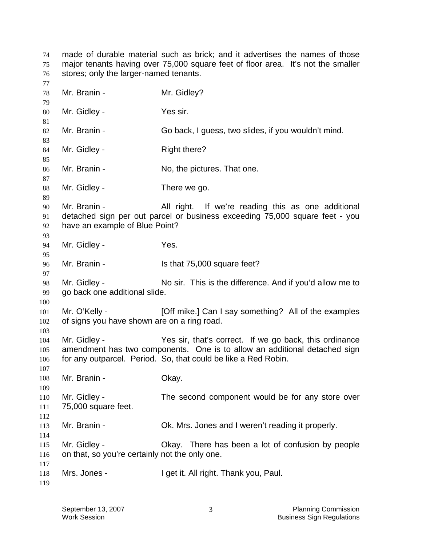made of durable material such as brick; and it advertises the names of those major tenants having over 75,000 square feet of floor area. It's not the smaller stores; only the larger-named tenants. Mr. Branin - Mr. Gidley? Mr. Gidley - Yes sir. Mr. Branin - Go back, I guess, two slides, if you wouldn't mind. Mr. Gidley - Right there? Mr. Branin - No, the pictures. That one. Mr. Gidley - There we go. Mr. Branin - All right. If we're reading this as one additional detached sign per out parcel or business exceeding 75,000 square feet - you have an example of Blue Point? Mr. Gidley - The Yes. Mr. Branin - Is that 75,000 square feet? Mr. Gidley - No sir. This is the difference. And if you'd allow me to go back one additional slide. Mr. O'Kelly - **[Off mike.]** Can I say something? All of the examples of signs you have shown are on a ring road. Mr. Gidley - Yes sir, that's correct. If we go back, this ordinance amendment has two components. One is to allow an additional detached sign for any outparcel. Period. So, that could be like a Red Robin. Mr. Branin - Ckay. Mr. Gidley - The second component would be for any store over 75,000 square feet. Mr. Branin - Ck. Mrs. Jones and I weren't reading it properly. Mr. Gidley - Okay. There has been a lot of confusion by people on that, so you're certainly not the only one. Mrs. Jones - I get it. All right. Thank you, Paul.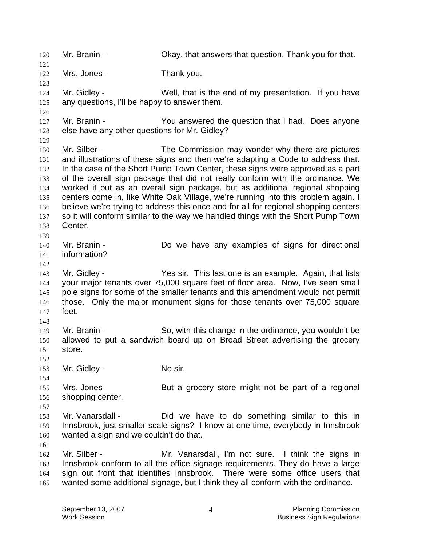120 Mr. Branin - Okay, that answers that question. Thank you for that. 121 122 123 124 125 126 127 128 129 130 131 132 133 134 135 136 137 138 139 140 141 142 143 144 145 146 147 148 149 150 151 152 153 154 155 156 157 158 159 160 161 162 163 164 165 Mrs. Jones - Thank you. Mr. Gidley - Well, that is the end of my presentation. If you have any questions, I'll be happy to answer them. Mr. Branin - The You answered the question that I had. Does anyone else have any other questions for Mr. Gidley? Mr. Silber - The Commission may wonder why there are pictures and illustrations of these signs and then we're adapting a Code to address that. In the case of the Short Pump Town Center, these signs were approved as a part of the overall sign package that did not really conform with the ordinance. We worked it out as an overall sign package, but as additional regional shopping centers come in, like White Oak Village, we're running into this problem again. I believe we're trying to address this once and for all for regional shopping centers so it will conform similar to the way we handled things with the Short Pump Town Center. Mr. Branin - **Do** we have any examples of signs for directional information? Mr. Gidley - Yes sir. This last one is an example. Again, that lists your major tenants over 75,000 square feet of floor area. Now, I've seen small pole signs for some of the smaller tenants and this amendment would not permit those. Only the major monument signs for those tenants over 75,000 square feet. Mr. Branin - So, with this change in the ordinance, you wouldn't be allowed to put a sandwich board up on Broad Street advertising the grocery store. Mr. Gidley - No sir. Mrs. Jones - But a grocery store might not be part of a regional shopping center. Mr. Vanarsdall - Did we have to do something similar to this in Innsbrook, just smaller scale signs? I know at one time, everybody in Innsbrook wanted a sign and we couldn't do that. Mr. Silber - Mr. Vanarsdall, I'm not sure. I think the signs in Innsbrook conform to all the office signage requirements. They do have a large sign out front that identifies Innsbrook. There were some office users that wanted some additional signage, but I think they all conform with the ordinance.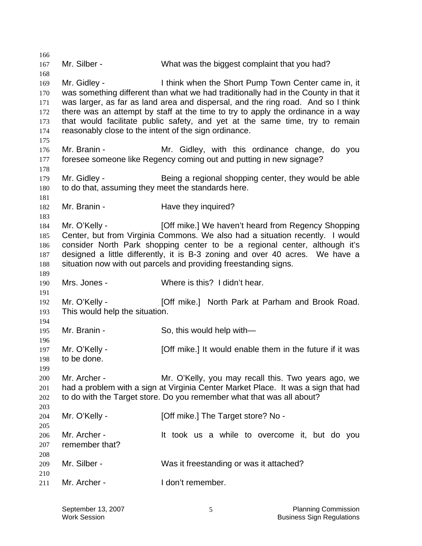166 167 168 169 170 171 172 173 174 175 176 177 178 179 180 181 182 183 184 185 186 187 188 189 190 191 192 193 194 195 196 197 198 199 200 201 202 203 204 205 206 207 208 209 210 211 Mr. Silber - What was the biggest complaint that you had? Mr. Gidley - I think when the Short Pump Town Center came in, it was something different than what we had traditionally had in the County in that it was larger, as far as land area and dispersal, and the ring road. And so I think there was an attempt by staff at the time to try to apply the ordinance in a way that would facilitate public safety, and yet at the same time, try to remain reasonably close to the intent of the sign ordinance. Mr. Branin - Mr. Gidley, with this ordinance change, do you foresee someone like Regency coming out and putting in new signage? Mr. Gidley - Being a regional shopping center, they would be able to do that, assuming they meet the standards here. Mr. Branin - The Have they inquired? Mr. O'Kelly - [Off mike.] We haven't heard from Regency Shopping Center, but from Virginia Commons. We also had a situation recently. I would consider North Park shopping center to be a regional center, although it's designed a little differently, it is B-3 zoning and over 40 acres. We have a situation now with out parcels and providing freestanding signs. Mrs. Jones - Where is this? I didn't hear. Mr. O'Kelly - [Off mike.] North Park at Parham and Brook Road. This would help the situation. Mr. Branin - So, this would help with— Mr. O'Kelly - **[Off mike.]** It would enable them in the future if it was to be done. Mr. Archer - The Mr. O'Kelly, you may recall this. Two years ago, we had a problem with a sign at Virginia Center Market Place. It was a sign that had to do with the Target store. Do you remember what that was all about? Mr. O'Kelly - [Off mike.] The Target store? No -Mr. Archer - It took us a while to overcome it, but do you remember that? Mr. Silber - Was it freestanding or was it attached? Mr. Archer - I don't remember.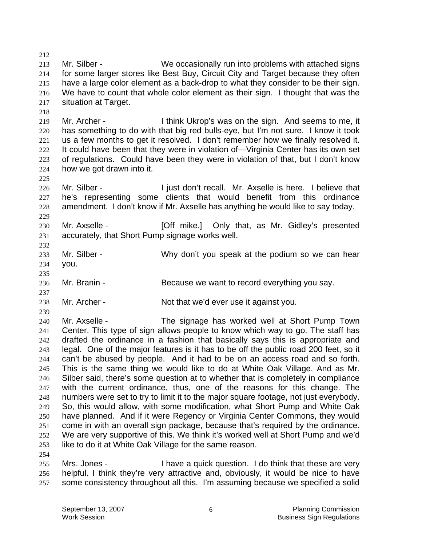212 213 214 215 216 217 218 Mr. Silber - We occasionally run into problems with attached signs for some larger stores like Best Buy, Circuit City and Target because they often have a large color element as a back-drop to what they consider to be their sign. We have to count that whole color element as their sign. I thought that was the situation at Target.

219 220 221 222 223 224 Mr. Archer - Think Ukrop's was on the sign. And seems to me, it has something to do with that big red bulls-eye, but I'm not sure. I know it took us a few months to get it resolved. I don't remember how we finally resolved it. It could have been that they were in violation of—Virginia Center has its own set of regulations. Could have been they were in violation of that, but I don't know how we got drawn into it.

226 227 228 Mr. Silber - The Suite of the I just don't recall. Mr. Axselle is here. I believe that he's representing some clients that would benefit from this ordinance amendment. I don't know if Mr. Axselle has anything he would like to say today.

230 231 Mr. Axselle - [Off mike.] Only that, as Mr. Gidley's presented accurately, that Short Pump signage works well.

- 233 234 Mr. Silber - Why don't you speak at the podium so we can hear you.
- 236 Mr. Branin - Because we want to record everything you say.
- 238 Mr. Archer - Not that we'd ever use it against you.

239

254

225

229

232

235

237

240 241 242 243 244 245 246 247 248 249 250 251 252 253 Mr. Axselle - The signage has worked well at Short Pump Town Center. This type of sign allows people to know which way to go. The staff has drafted the ordinance in a fashion that basically says this is appropriate and legal. One of the major features is it has to be off the public road 200 feet, so it can't be abused by people. And it had to be on an access road and so forth. This is the same thing we would like to do at White Oak Village. And as Mr. Silber said, there's some question at to whether that is completely in compliance with the current ordinance, thus, one of the reasons for this change. The numbers were set to try to limit it to the major square footage, not just everybody. So, this would allow, with some modification, what Short Pump and White Oak have planned. And if it were Regency or Virginia Center Commons, they would come in with an overall sign package, because that's required by the ordinance. We are very supportive of this. We think it's worked well at Short Pump and we'd like to do it at White Oak Village for the same reason.

255 256 257 Mrs. Jones - I have a quick question. I do think that these are very helpful. I think they're very attractive and, obviously, it would be nice to have some consistency throughout all this. I'm assuming because we specified a solid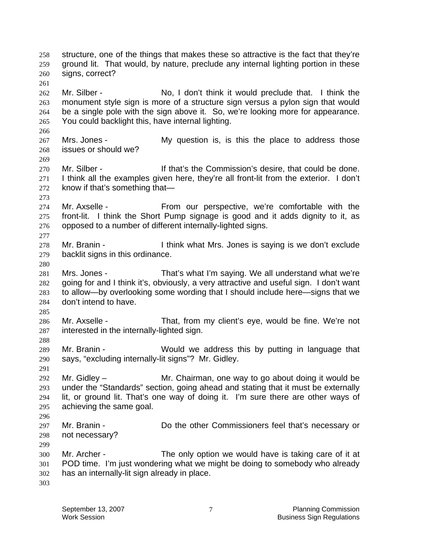structure, one of the things that makes these so attractive is the fact that they're ground lit. That would, by nature, preclude any internal lighting portion in these signs, correct? 258 259 260 261 262 263 264 265 266 267 268 269 270 271 272 273 274 275 276 277 278 279 280 281 282 283 284 285 286 287 288 289 290 291 292 293 294 295 296 297 298 299 300 301 302 303 Mr. Silber - No, I don't think it would preclude that. I think the monument style sign is more of a structure sign versus a pylon sign that would be a single pole with the sign above it. So, we're looking more for appearance. You could backlight this, have internal lighting. Mrs. Jones - My question is, is this the place to address those issues or should we? Mr. Silber - The Muslim State of that's the Commission's desire, that could be done. I think all the examples given here, they're all front-lit from the exterior. I don't know if that's something that— Mr. Axselle - From our perspective, we're comfortable with the front-lit. I think the Short Pump signage is good and it adds dignity to it, as opposed to a number of different internally-lighted signs. Mr. Branin - I think what Mrs. Jones is saying is we don't exclude backlit signs in this ordinance. Mrs. Jones - That's what I'm saying. We all understand what we're going for and I think it's, obviously, a very attractive and useful sign. I don't want to allow—by overlooking some wording that I should include here—signs that we don't intend to have. Mr. Axselle - That, from my client's eye, would be fine. We're not interested in the internally-lighted sign. Mr. Branin - The Would we address this by putting in language that says, "excluding internally-lit signs"? Mr. Gidley. Mr. Gidley – Mr. Chairman, one way to go about doing it would be under the "Standards" section, going ahead and stating that it must be externally lit, or ground lit. That's one way of doing it. I'm sure there are other ways of achieving the same goal. Mr. Branin - Do the other Commissioners feel that's necessary or not necessary? Mr. Archer - The only option we would have is taking care of it at POD time. I'm just wondering what we might be doing to somebody who already has an internally-lit sign already in place.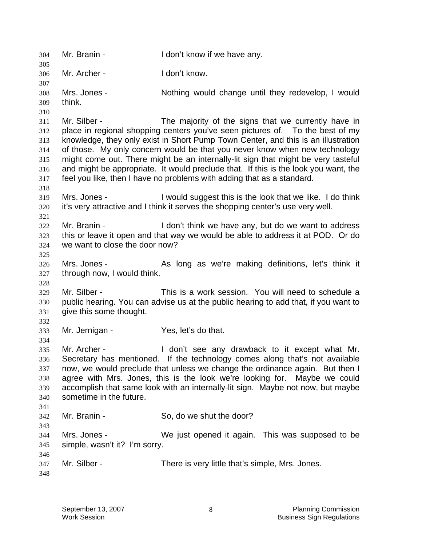304 Mr. Branin - I don't know if we have any. 305 306 307 308 309 310 311 312 313 314 315 316 317 318 319 320 321 322 323 324 325 326 327 328 329 330 331 332 333 334 335 336 337 338 339 340 341 342 343 344 345 346 347 348 Mr. Archer - I don't know. Mrs. Jones - Nothing would change until they redevelop, I would think. Mr. Silber - The majority of the signs that we currently have in place in regional shopping centers you've seen pictures of. To the best of my knowledge, they only exist in Short Pump Town Center, and this is an illustration of those. My only concern would be that you never know when new technology might come out. There might be an internally-lit sign that might be very tasteful and might be appropriate. It would preclude that. If this is the look you want, the feel you like, then I have no problems with adding that as a standard. Mrs. Jones - I would suggest this is the look that we like. I do think it's very attractive and I think it serves the shopping center's use very well. Mr. Branin - The Muslim Con't think we have any, but do we want to address this or leave it open and that way we would be able to address it at POD. Or do we want to close the door now? Mrs. Jones - As long as we're making definitions, let's think it through now, I would think. Mr. Silber - This is a work session. You will need to schedule a public hearing. You can advise us at the public hearing to add that, if you want to give this some thought. Mr. Jernigan - Yes, let's do that. Mr. Archer - The Mon't see any drawback to it except what Mr. Secretary has mentioned. If the technology comes along that's not available now, we would preclude that unless we change the ordinance again. But then I agree with Mrs. Jones, this is the look we're looking for. Maybe we could accomplish that same look with an internally-lit sign. Maybe not now, but maybe sometime in the future. Mr. Branin - So, do we shut the door? Mrs. Jones - We just opened it again. This was supposed to be simple, wasn't it? I'm sorry. Mr. Silber - There is very little that's simple, Mrs. Jones.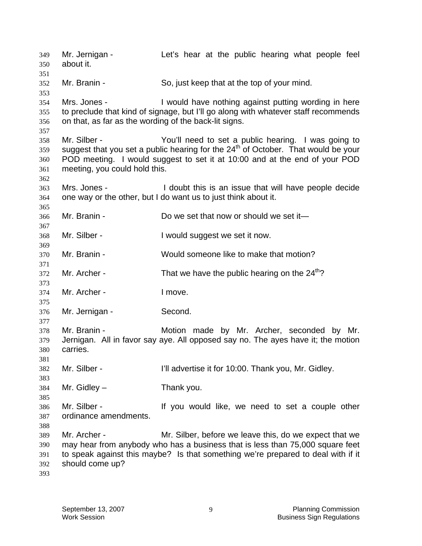Mr. Jernigan - The Let's hear at the public hearing what people feel about it. 349 350 351 352 353 354 355 356 357 358 359 360 361 362 363 364 365 366 367 368 369 370 371 372 373 374 375 376 377 378 379 380 381 382 383 384 385 386 387 388 389 390 391 392 393 Mr. Branin - So, just keep that at the top of your mind. Mrs. Jones - I would have nothing against putting wording in here to preclude that kind of signage, but I'll go along with whatever staff recommends on that, as far as the wording of the back-lit signs. Mr. Silber - The You'll need to set a public hearing. I was going to suggest that you set a public hearing for the  $24<sup>th</sup>$  of October. That would be your POD meeting. I would suggest to set it at 10:00 and at the end of your POD meeting, you could hold this. Mrs. Jones - I doubt this is an issue that will have people decide one way or the other, but I do want us to just think about it. Mr. Branin - Do we set that now or should we set it— Mr. Silber - I would suggest we set it now. Mr. Branin - Would someone like to make that motion? Mr. Archer - That we have the public hearing on the  $24<sup>th</sup>$ ? Mr. Archer - The Theore. Mr. Jernigan - Second. Mr. Branin - The Motion made by Mr. Archer, seconded by Mr. Jernigan. All in favor say aye. All opposed say no. The ayes have it; the motion carries. Mr. Silber - **I'll advertise it for 10:00. Thank you, Mr. Gidley.**  $Mr. Gidley - Thank you.$ Mr. Silber - The Mr. Silber - If you would like, we need to set a couple other ordinance amendments. Mr. Archer - Mr. Silber, before we leave this, do we expect that we may hear from anybody who has a business that is less than 75,000 square feet to speak against this maybe? Is that something we're prepared to deal with if it should come up?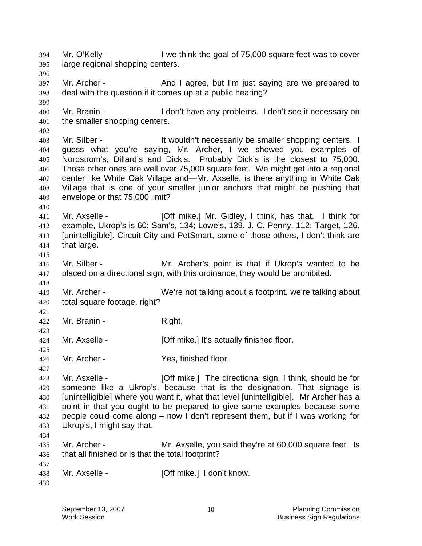Mr. O'Kelly - **I** we think the goal of 75,000 square feet was to cover large regional shopping centers. 394 395 396 397 398 399 400 401 402 403 404 405 406 407 408 409 410 411 412 413 414 415 416 417 418 419 420 421 422 423 424 425 426 427 428 429 430 431 432 433 434 435 436 437 438 439 Mr. Archer - And I agree, but I'm just saying are we prepared to deal with the question if it comes up at a public hearing? Mr. Branin - I don't have any problems. I don't see it necessary on the smaller shopping centers. Mr. Silber - The Muslim of the Wouldn't necessarily be smaller shopping centers. I guess what you're saying, Mr. Archer, I we showed you examples of Nordstrom's, Dillard's and Dick's. Probably Dick's is the closest to 75,000. Those other ones are well over 75,000 square feet. We might get into a regional center like White Oak Village and—Mr. Axselle, is there anything in White Oak Village that is one of your smaller junior anchors that might be pushing that envelope or that 75,000 limit? Mr. Axselle - [Off mike.] Mr. Gidley, I think, has that. I think for example, Ukrop's is 60; Sam's, 134; Lowe's, 139, J. C. Penny, 112; Target, 126. [unintelligible]. Circuit City and PetSmart, some of those others, I don't think are that large. Mr. Silber - Mr. Archer's point is that if Ukrop's wanted to be placed on a directional sign, with this ordinance, they would be prohibited. Mr. Archer - We're not talking about a footprint, we're talking about total square footage, right? Mr. Branin - Right. Mr. Axselle - [Off mike.] It's actually finished floor. Mr. Archer - Yes, finished floor. Mr. Asxelle - **[Off mike.]** The directional sign, I think, should be for someone like a Ukrop's, because that is the designation. That signage is [unintelligible] where you want it, what that level [unintelligible]. Mr Archer has a point in that you ought to be prepared to give some examples because some people could come along – now I don't represent them, but if I was working for Ukrop's, I might say that. Mr. Archer - Mr. Axselle, you said they're at 60,000 square feet. Is that all finished or is that the total footprint? Mr. Axselle - [Off mike.] I don't know.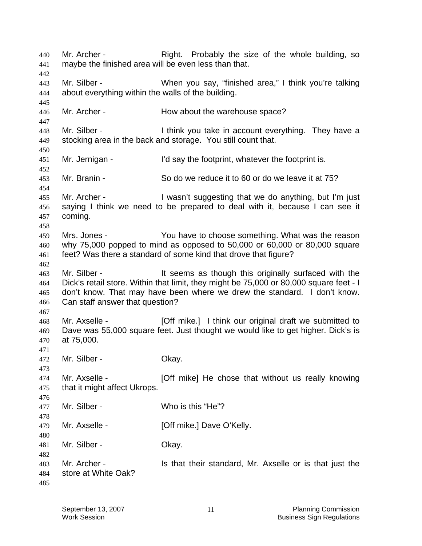Mr. Archer - The Right. Probably the size of the whole building, so maybe the finished area will be even less than that. 440 441 442 443 444 445 446 447 448 449 450 451 452 453 454 455 456 457 458 459 460 461 462 463 464 465 466 467 468 469 470 471 472 473 474 475 476 477 478 479 480 481 482 483 484 485 Mr. Silber - When you say, "finished area," I think you're talking about everything within the walls of the building. Mr. Archer - **How about the warehouse space?** Mr. Silber - Think you take in account everything. They have a stocking area in the back and storage. You still count that. Mr. Jernigan - I'd say the footprint, whatever the footprint is. Mr. Branin - So do we reduce it to 60 or do we leave it at 75? Mr. Archer - I wasn't suggesting that we do anything, but I'm just saying I think we need to be prepared to deal with it, because I can see it coming. Mrs. Jones - You have to choose something. What was the reason why 75,000 popped to mind as opposed to 50,000 or 60,000 or 80,000 square feet? Was there a standard of some kind that drove that figure? Mr. Silber - The Silber - It seems as though this originally surfaced with the Dick's retail store. Within that limit, they might be 75,000 or 80,000 square feet - I don't know. That may have been where we drew the standard. I don't know. Can staff answer that question? Mr. Axselle - [Off mike.] I think our original draft we submitted to Dave was 55,000 square feet. Just thought we would like to get higher. Dick's is at 75,000. Mr. Silber - Chay. Mr. Axselle - **[Off mike]** He chose that without us really knowing that it might affect Ukrops. Mr. Silber - Who is this "He"? Mr. Axselle - **[Off mike.]** Dave O'Kelly. Mr. Silber - Ckay. Mr. Archer - Is that their standard, Mr. Axselle or is that just the store at White Oak?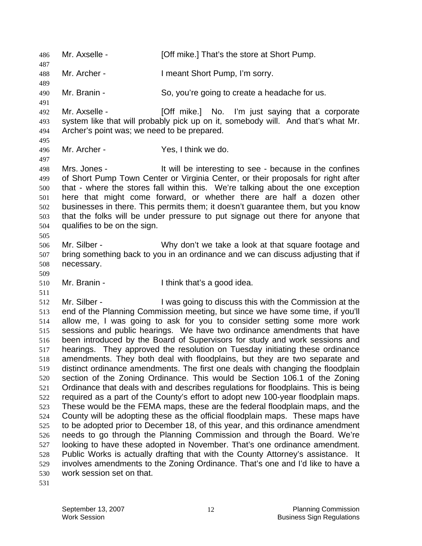486 Mr. Axselle - [Off mike.] That's the store at Short Pump. 487 488 489 490 491 492 493 494 495 496 497 498 499 500 501 502 503 504 505 506 507 508 509 510 511 512 513 514 515 516 517 518 519 520 521 522 523 524 525 526 527 528 529 530 Mr. Archer - I meant Short Pump, I'm sorry. Mr. Branin - So, you're going to create a headache for us. Mr. Axselle - **[Off mike.]** No. I'm just saying that a corporate system like that will probably pick up on it, somebody will. And that's what Mr. Archer's point was; we need to be prepared. Mr. Archer - Yes, I think we do. Mrs. Jones - It will be interesting to see - because in the confines of Short Pump Town Center or Virginia Center, or their proposals for right after that - where the stores fall within this. We're talking about the one exception here that might come forward, or whether there are half a dozen other businesses in there. This permits them; it doesn't guarantee them, but you know that the folks will be under pressure to put signage out there for anyone that qualifies to be on the sign. Mr. Silber - Why don't we take a look at that square footage and bring something back to you in an ordinance and we can discuss adjusting that if necessary. Mr. Branin - Think that's a good idea. Mr. Silber - I was going to discuss this with the Commission at the end of the Planning Commission meeting, but since we have some time, if you'll allow me, I was going to ask for you to consider setting some more work sessions and public hearings. We have two ordinance amendments that have been introduced by the Board of Supervisors for study and work sessions and hearings. They approved the resolution on Tuesday initiating these ordinance amendments. They both deal with floodplains, but they are two separate and distinct ordinance amendments. The first one deals with changing the floodplain section of the Zoning Ordinance. This would be Section 106.1 of the Zoning Ordinance that deals with and describes regulations for floodplains. This is being required as a part of the County's effort to adopt new 100-year floodplain maps. These would be the FEMA maps, these are the federal floodplain maps, and the County will be adopting these as the official floodplain maps. These maps have to be adopted prior to December 18, of this year, and this ordinance amendment needs to go through the Planning Commission and through the Board. We're looking to have these adopted in November. That's one ordinance amendment. Public Works is actually drafting that with the County Attorney's assistance. It involves amendments to the Zoning Ordinance. That's one and I'd like to have a work session set on that.

531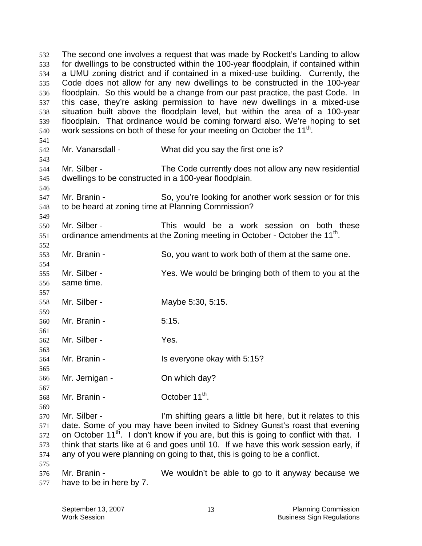The second one involves a request that was made by Rockett's Landing to allow for dwellings to be constructed within the 100-year floodplain, if contained within a UMU zoning district and if contained in a mixed-use building. Currently, the Code does not allow for any new dwellings to be constructed in the 100-year floodplain. So this would be a change from our past practice, the past Code. In this case, they're asking permission to have new dwellings in a mixed-use situation built above the floodplain level, but within the area of a 100-year floodplain. That ordinance would be coming forward also. We're hoping to set work sessions on both of these for your meeting on October the 11<sup>th</sup>. 532 533 534 535 536 537 538 539 540 541 542 543 544 545 546 547 548 549 550 551 552 553 554 555 556 557 558 559 560 561 562 563 564 565 566 567 568 569 570 571 572 573 574 575 576 577 Mr. Vanarsdall - What did you say the first one is? Mr. Silber - The Code currently does not allow any new residential dwellings to be constructed in a 100-year floodplain. Mr. Branin - So, you're looking for another work session or for this to be heard at zoning time at Planning Commission? Mr. Silber - This would be a work session on both these ordinance amendments at the Zoning meeting in October - October the 11<sup>th</sup>. Mr. Branin - So, you want to work both of them at the same one. Mr. Silber - Yes. We would be bringing both of them to you at the same time. Mr. Silber - Maybe 5:30, 5:15. Mr. Branin - 5:15. Mr. Silber - Yes. Mr. Branin - **IS everyone okay with 5:15?** Mr. Jernigan - Chambridge Constants Chambridge Mr. Jernigan -Mr. Branin -  $\qquad \qquad$  October 11<sup>th</sup>. Mr. Silber - The Sulfting gears a little bit here, but it relates to this date. Some of you may have been invited to Sidney Gunst's roast that evening on October 11<sup>th</sup>. I don't know if you are, but this is going to conflict with that. I think that starts like at 6 and goes until 10. If we have this work session early, if any of you were planning on going to that, this is going to be a conflict. Mr. Branin - We wouldn't be able to go to it anyway because we have to be in here by 7.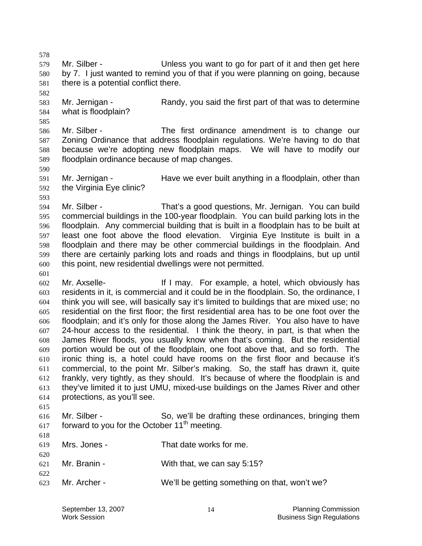578

579 580 581 Mr. Silber - Unless you want to go for part of it and then get here by 7. I just wanted to remind you of that if you were planning on going, because there is a potential conflict there.

582

585

583 584 Mr. Jernigan - Randy, you said the first part of that was to determine what is floodplain?

586 587 588 589 Mr. Silber - The first ordinance amendment is to change our Zoning Ordinance that address floodplain regulations. We're having to do that because we're adopting new floodplain maps. We will have to modify our floodplain ordinance because of map changes.

590

591 592 Mr. Jernigan - Have we ever built anything in a floodplain, other than the Virginia Eye clinic?

593

601

615

620

622

594 595 596 597 598 599 600 Mr. Silber - That's a good questions, Mr. Jernigan. You can build commercial buildings in the 100-year floodplain. You can build parking lots in the floodplain. Any commercial building that is built in a floodplain has to be built at least one foot above the flood elevation. Virginia Eye Institute is built in a floodplain and there may be other commercial buildings in the floodplain. And there are certainly parking lots and roads and things in floodplains, but up until this point, new residential dwellings were not permitted.

602 603 604 605 606 607 608 609 610 611 612 613 614 Mr. Axselle- **If I may.** For example, a hotel, which obviously has residents in it, is commercial and it could be in the floodplain. So, the ordinance, I think you will see, will basically say it's limited to buildings that are mixed use; no residential on the first floor; the first residential area has to be one foot over the floodplain; and it's only for those along the James River. You also have to have 24-hour access to the residential. I think the theory, in part, is that when the James River floods, you usually know when that's coming. But the residential portion would be out of the floodplain, one foot above that, and so forth. The ironic thing is, a hotel could have rooms on the first floor and because it's commercial, to the point Mr. Silber's making. So, the staff has drawn it, quite frankly, very tightly, as they should. It's because of where the floodplain is and they've limited it to just UMU, mixed-use buildings on the James River and other protections, as you'll see.

616 617 618 Mr. Silber - So, we'll be drafting these ordinances, bringing them forward to you for the October 11<sup>th</sup> meeting.

619 Mrs. Jones - That date works for me.

- 621 Mr. Branin - With that, we can say 5:15?
- 623 Mr. Archer - We'll be getting something on that, won't we?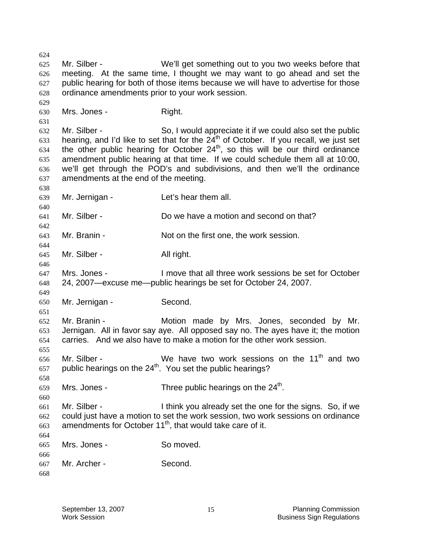624 625 626 627 628 629 630 631 632 633 634 635 636 637 638 639 640 641 642 643 644 645 646 647 648 649 650 651 652 653 654 655 656 657 658 659 660 661 662 663 664 665 666 667 668 Mr. Silber - We'll get something out to you two weeks before that meeting. At the same time, I thought we may want to go ahead and set the public hearing for both of those items because we will have to advertise for those ordinance amendments prior to your work session. Mrs. Jones - Right. Mr. Silber - So, I would appreciate it if we could also set the public hearing, and I'd like to set that for the  $24<sup>th</sup>$  of October. If you recall, we just set the other public hearing for October  $24<sup>th</sup>$ , so this will be our third ordinance amendment public hearing at that time. If we could schedule them all at 10:00, we'll get through the POD's and subdivisions, and then we'll the ordinance amendments at the end of the meeting. Mr. Jernigan - Let's hear them all. Mr. Silber - Do we have a motion and second on that? Mr. Branin - Not on the first one, the work session. Mr. Silber - All right. Mrs. Jones - I move that all three work sessions be set for October 24, 2007—excuse me—public hearings be set for October 24, 2007. Mr. Jernigan - Second. Mr. Branin - The Motion made by Mrs. Jones, seconded by Mr. Jernigan. All in favor say aye. All opposed say no. The ayes have it; the motion carries. And we also have to make a motion for the other work session. Mr. Silber - We have two work sessions on the 11<sup>th</sup> and two public hearings on the 24<sup>th</sup>. You set the public hearings? Mrs. Jones - Three public hearings on the  $24<sup>th</sup>$ . Mr. Silber - I think you already set the one for the signs. So, if we could just have a motion to set the work session, two work sessions on ordinance amendments for October  $11<sup>th</sup>$ , that would take care of it. Mrs. Jones - So moved. Mr. Archer - Second.